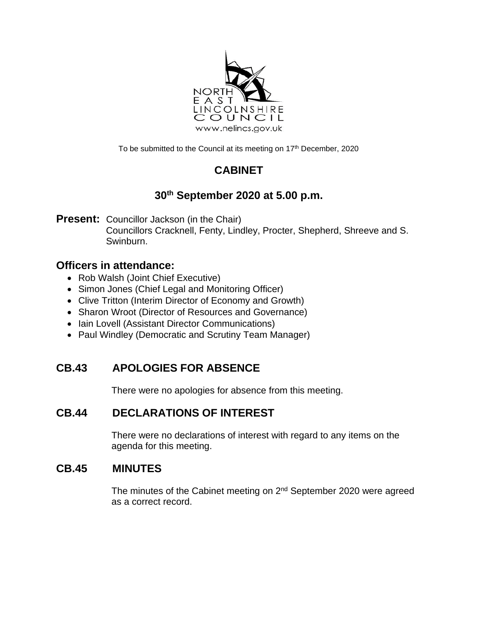

To be submitted to the Council at its meeting on 17<sup>th</sup> December, 2020

# **CABINET**

# **30th September 2020 at 5.00 p.m.**

**Present:** Councillor Jackson (in the Chair) Councillors Cracknell, Fenty, Lindley, Procter, Shepherd, Shreeve and S. Swinburn.

## **Officers in attendance:**

- Rob Walsh (Joint Chief Executive)
- Simon Jones (Chief Legal and Monitoring Officer)
- Clive Tritton (Interim Director of Economy and Growth)
- Sharon Wroot (Director of Resources and Governance)
- Iain Lovell (Assistant Director Communications)
- Paul Windley (Democratic and Scrutiny Team Manager)

# **CB.43 APOLOGIES FOR ABSENCE**

There were no apologies for absence from this meeting.

# **CB.44 DECLARATIONS OF INTEREST**

There were no declarations of interest with regard to any items on the agenda for this meeting.

## **CB.45 MINUTES**

The minutes of the Cabinet meeting on 2<sup>nd</sup> September 2020 were agreed as a correct record.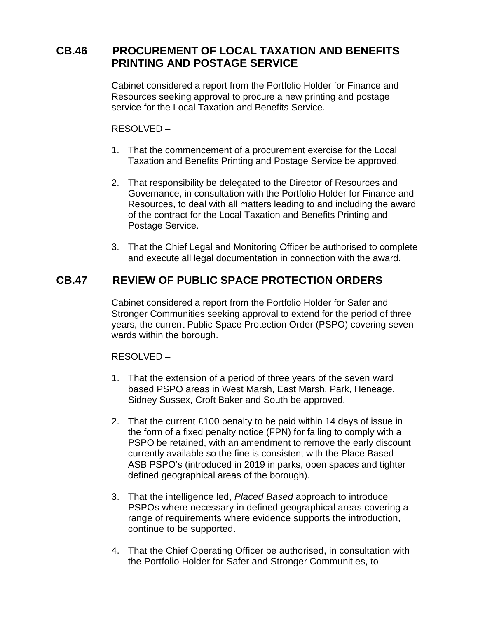## **CB.46 PROCUREMENT OF LOCAL TAXATION AND BENEFITS PRINTING AND POSTAGE SERVICE**

Cabinet considered a report from the Portfolio Holder for Finance and Resources seeking approval to procure a new printing and postage service for the Local Taxation and Benefits Service.

#### RESOLVED –

- 1. That the commencement of a procurement exercise for the Local Taxation and Benefits Printing and Postage Service be approved.
- 2. That responsibility be delegated to the Director of Resources and Governance, in consultation with the Portfolio Holder for Finance and Resources, to deal with all matters leading to and including the award of the contract for the Local Taxation and Benefits Printing and Postage Service.
- 3. That the Chief Legal and Monitoring Officer be authorised to complete and execute all legal documentation in connection with the award.

### **CB.47 REVIEW OF PUBLIC SPACE PROTECTION ORDERS**

Cabinet considered a report from the Portfolio Holder for Safer and Stronger Communities seeking approval to extend for the period of three years, the current Public Space Protection Order (PSPO) covering seven wards within the borough.

#### RESOLVED –

- 1. That the extension of a period of three years of the seven ward based PSPO areas in West Marsh, East Marsh, Park, Heneage, Sidney Sussex, Croft Baker and South be approved.
- 2. That the current £100 penalty to be paid within 14 days of issue in the form of a fixed penalty notice (FPN) for failing to comply with a PSPO be retained, with an amendment to remove the early discount currently available so the fine is consistent with the Place Based ASB PSPO's (introduced in 2019 in parks, open spaces and tighter defined geographical areas of the borough).
- 3. That the intelligence led, *Placed Based* approach to introduce PSPOs where necessary in defined geographical areas covering a range of requirements where evidence supports the introduction, continue to be supported.
- 4. That the Chief Operating Officer be authorised, in consultation with the Portfolio Holder for Safer and Stronger Communities, to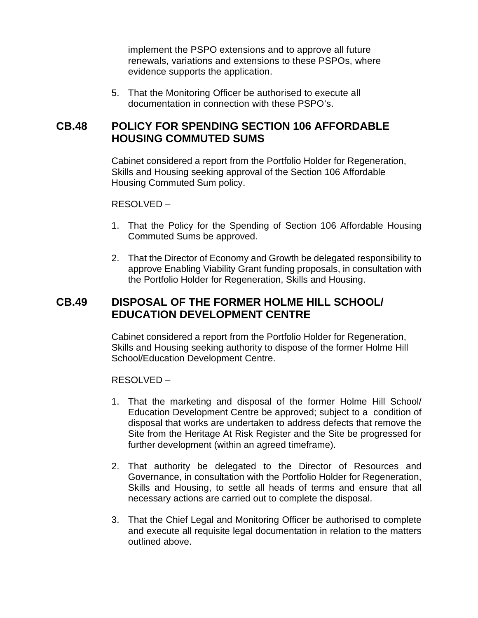implement the PSPO extensions and to approve all future renewals, variations and extensions to these PSPOs, where evidence supports the application.

5. That the Monitoring Officer be authorised to execute all documentation in connection with these PSPO's.

### **CB.48 POLICY FOR SPENDING SECTION 106 AFFORDABLE HOUSING COMMUTED SUMS**

Cabinet considered a report from the Portfolio Holder for Regeneration, Skills and Housing seeking approval of the Section 106 Affordable Housing Commuted Sum policy.

#### RESOLVED –

- 1. That the Policy for the Spending of Section 106 Affordable Housing Commuted Sums be approved.
- 2. That the Director of Economy and Growth be delegated responsibility to approve Enabling Viability Grant funding proposals, in consultation with the Portfolio Holder for Regeneration, Skills and Housing.

### **CB.49 DISPOSAL OF THE FORMER HOLME HILL SCHOOL/ EDUCATION DEVELOPMENT CENTRE**

Cabinet considered a report from the Portfolio Holder for Regeneration, Skills and Housing seeking authority to dispose of the former Holme Hill School/Education Development Centre.

#### RESOLVED –

- 1. That the marketing and disposal of the former Holme Hill School/ Education Development Centre be approved; subject to a condition of disposal that works are undertaken to address defects that remove the Site from the Heritage At Risk Register and the Site be progressed for further development (within an agreed timeframe).
- 2. That authority be delegated to the Director of Resources and Governance, in consultation with the Portfolio Holder for Regeneration, Skills and Housing, to settle all heads of terms and ensure that all necessary actions are carried out to complete the disposal.
- 3. That the Chief Legal and Monitoring Officer be authorised to complete and execute all requisite legal documentation in relation to the matters outlined above.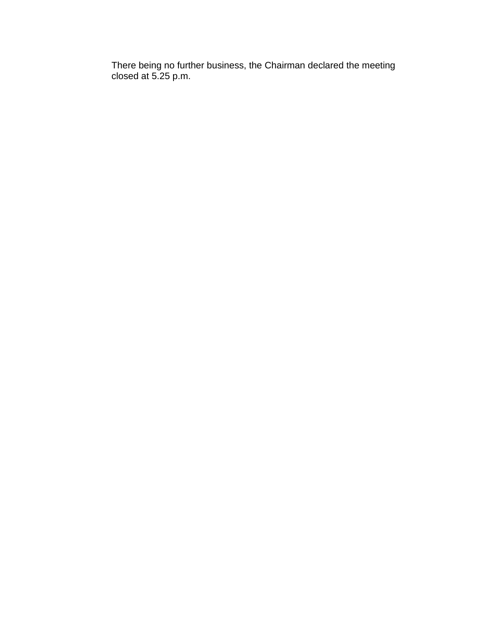There being no further business, the Chairman declared the meeting closed at 5.25 p.m.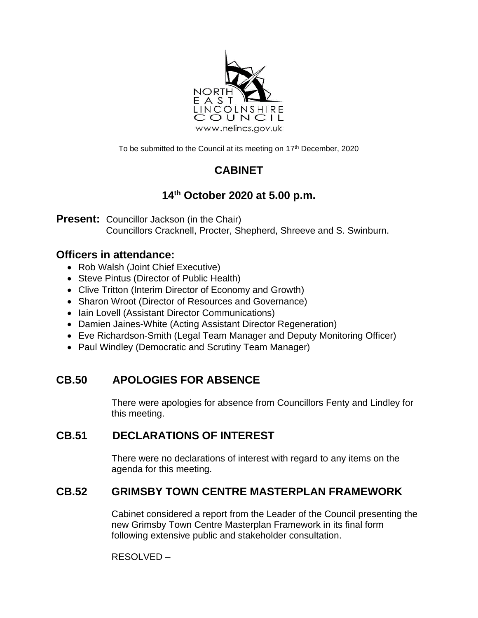

To be submitted to the Council at its meeting on 17<sup>th</sup> December, 2020

# **CABINET**

# **14 th October 2020 at 5.00 p.m.**

**Present:** Councillor Jackson (in the Chair) Councillors Cracknell, Procter, Shepherd, Shreeve and S. Swinburn.

## **Officers in attendance:**

- Rob Walsh (Joint Chief Executive)
- Steve Pintus (Director of Public Health)
- Clive Tritton (Interim Director of Economy and Growth)
- Sharon Wroot (Director of Resources and Governance)
- Iain Lovell (Assistant Director Communications)
- Damien Jaines-White (Acting Assistant Director Regeneration)
- Eve Richardson-Smith (Legal Team Manager and Deputy Monitoring Officer)
- Paul Windley (Democratic and Scrutiny Team Manager)

## **CB.50 APOLOGIES FOR ABSENCE**

There were apologies for absence from Councillors Fenty and Lindley for this meeting.

## **CB.51 DECLARATIONS OF INTEREST**

There were no declarations of interest with regard to any items on the agenda for this meeting.

## **CB.52 GRIMSBY TOWN CENTRE MASTERPLAN FRAMEWORK**

Cabinet considered a report from the Leader of the Council presenting the new Grimsby Town Centre Masterplan Framework in its final form following extensive public and stakeholder consultation.

RESOLVED –